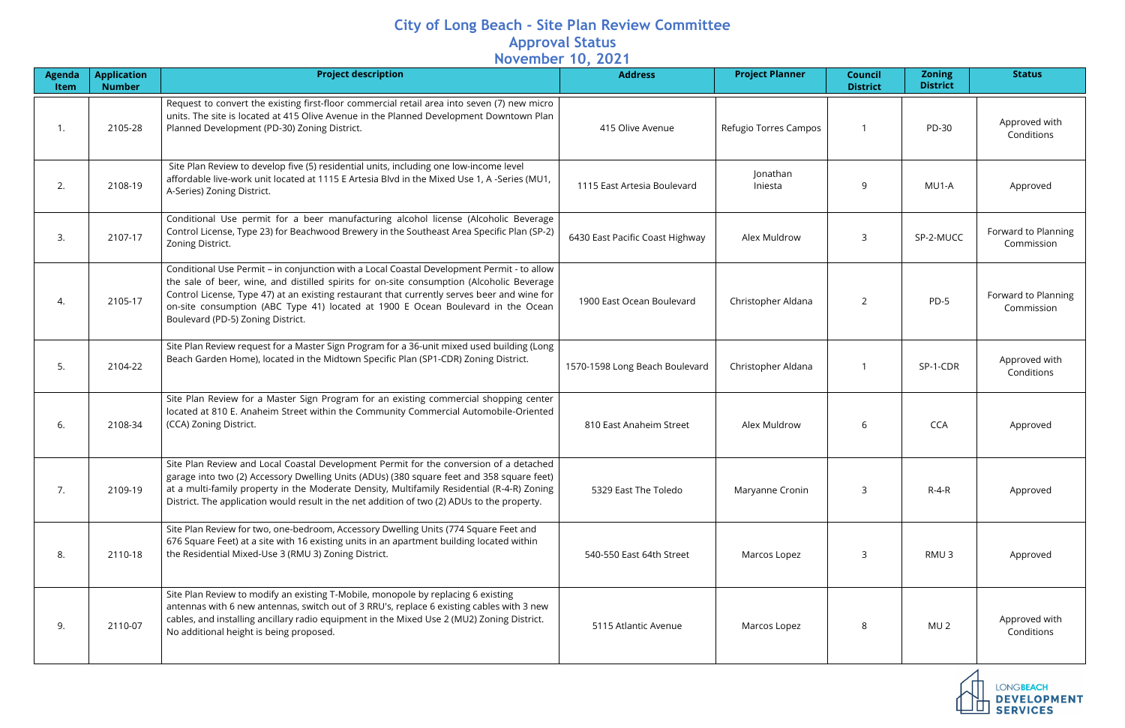## **City of Long Beach - Site Plan Review Committee Approval Status November 10, 2021**

| Agenda<br><b>Item</b> | <b>Application</b><br><b>Number</b> | <b>Project description</b>                                                                                                                                                                                                                                                                                                                                                                                      | 1010111001 101 202<br><b>Address</b> | <b>Project Planner</b> | <b>Council</b><br><b>District</b> | <b>Zoning</b><br><b>District</b> | <b>Status</b>                                             |
|-----------------------|-------------------------------------|-----------------------------------------------------------------------------------------------------------------------------------------------------------------------------------------------------------------------------------------------------------------------------------------------------------------------------------------------------------------------------------------------------------------|--------------------------------------|------------------------|-----------------------------------|----------------------------------|-----------------------------------------------------------|
| 1.                    | 2105-28                             | Request to convert the existing first-floor commercial retail area into seven (7) new micro<br>units. The site is located at 415 Olive Avenue in the Planned Development Downtown Plan<br>Planned Development (PD-30) Zoning District.                                                                                                                                                                          | 415 Olive Avenue                     | Refugio Torres Campos  |                                   | PD-30                            | Approved with<br>Conditions                               |
| 2.                    | 2108-19                             | Site Plan Review to develop five (5) residential units, including one low-income level<br>affordable live-work unit located at 1115 E Artesia Blvd in the Mixed Use 1, A -Series (MU1,<br>A-Series) Zoning District.                                                                                                                                                                                            | 1115 East Artesia Boulevard          | Jonathan<br>Iniesta    | q                                 | MU1-A                            | Approved                                                  |
| 3.                    | 2107-17                             | Conditional Use permit for a beer manufacturing alcohol license (Alcoholic Beverage<br>Control License, Type 23) for Beachwood Brewery in the Southeast Area Specific Plan (SP-2)<br>Zoning District.                                                                                                                                                                                                           | 6430 East Pacific Coast Highway      | Alex Muldrow           | 3                                 | SP-2-MUCC                        | Forward to Planning<br>Commission                         |
| 4.                    | 2105-17                             | Conditional Use Permit - in conjunction with a Local Coastal Development Permit - to allow<br>the sale of beer, wine, and distilled spirits for on-site consumption (Alcoholic Beverage<br>Control License, Type 47) at an existing restaurant that currently serves beer and wine for<br>on-site consumption (ABC Type 41) located at 1900 E Ocean Boulevard in the Ocean<br>Boulevard (PD-5) Zoning District. | 1900 East Ocean Boulevard            | Christopher Aldana     | 2                                 | $PD-5$                           | Forward to Planning<br>Commission                         |
| 5.                    | 2104-22                             | Site Plan Review request for a Master Sign Program for a 36-unit mixed used building (Long<br>Beach Garden Home), located in the Midtown Specific Plan (SP1-CDR) Zoning District.                                                                                                                                                                                                                               | 1570-1598 Long Beach Boulevard       | Christopher Aldana     |                                   | SP-1-CDR                         | Approved with<br>Conditions                               |
| 6.                    | 2108-34                             | Site Plan Review for a Master Sign Program for an existing commercial shopping center<br>located at 810 E. Anaheim Street within the Community Commercial Automobile-Oriented<br>(CCA) Zoning District.                                                                                                                                                                                                         | 810 East Anaheim Street              | Alex Muldrow           | 6                                 | <b>CCA</b>                       | Approved                                                  |
| 7.                    | 2109-19                             | Site Plan Review and Local Coastal Development Permit for the conversion of a detached<br>garage into two (2) Accessory Dwelling Units (ADUs) (380 square feet and 358 square feet)<br>at a multi-family property in the Moderate Density, Multifamily Residential (R-4-R) Zoning<br>District. The application would result in the net addition of two (2) ADUs to the property.                                | 5329 East The Toledo                 | Maryanne Cronin        | 3                                 | $R-4-R$                          | Approved                                                  |
| 8.                    | 2110-18                             | Site Plan Review for two, one-bedroom, Accessory Dwelling Units (774 Square Feet and<br>676 Square Feet) at a site with 16 existing units in an apartment building located within<br>the Residential Mixed-Use 3 (RMU 3) Zoning District.                                                                                                                                                                       | 540-550 East 64th Street             | Marcos Lopez           | 3                                 | RMU <sub>3</sub>                 | Approved                                                  |
| 9.                    | 2110-07                             | Site Plan Review to modify an existing T-Mobile, monopole by replacing 6 existing<br>antennas with 6 new antennas, switch out of 3 RRU's, replace 6 existing cables with 3 new<br>cables, and installing ancillary radio equipment in the Mixed Use 2 (MU2) Zoning District.<br>No additional height is being proposed.                                                                                         | 5115 Atlantic Avenue                 | Marcos Lopez           | 8                                 | MU <sub>2</sub>                  | Approved with<br>Conditions                               |
|                       |                                     |                                                                                                                                                                                                                                                                                                                                                                                                                 |                                      |                        |                                   |                                  | <b>LONGBEACH</b><br><b>DEVELOPMENT</b><br><b>SERVICES</b> |